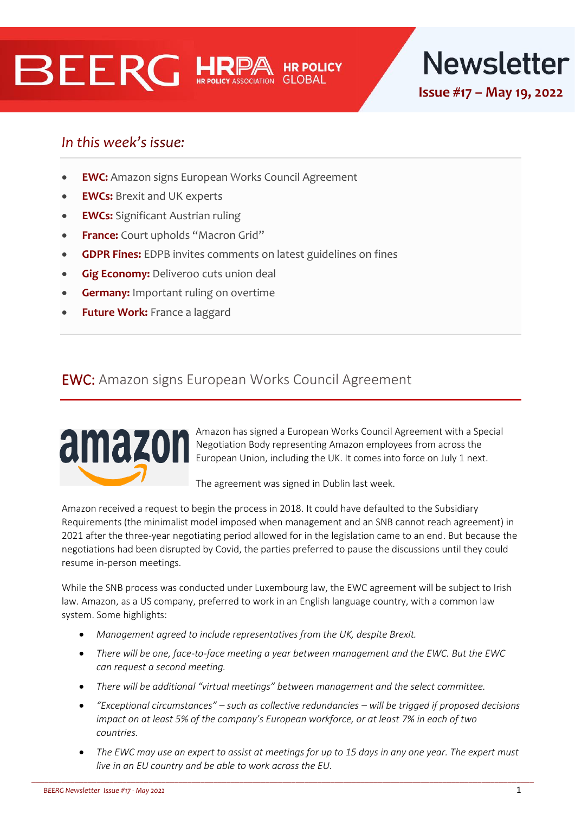# BEERG HRPA



# In this week's issue:

- **EWC:** Amazon signs European Works Council Agreement
- **EWCs:** Brexit and UK experts
- **EWCs:** Significant Austrian ruling
- **France:** Court upholds "Macron Grid"
- **GDPR Fines:** EDPB invites comments on latest guidelines on fines
- **Gig Economy: Deliveroo cuts union deal**
- **Germany:** Important ruling on overtime
- **Future Work:** France a laggard

# EWC: Amazon signs European Works Council Agreement



Amazon has signed a European Works Council Agreement with a Special Negotiation Body representing Amazon employees from across the European Union, including the UK. It comes into force on July 1 next.

The agreement was signed in Dublin last week.

Amazon received a request to begin the process in 2018. It could have defaulted to the Subsidiary Requirements (the minimalist model imposed when management and an SNB cannot reach agreement) in 2021 after the three-year negotiating period allowed for in the legislation came to an end. But because the negotiations had been disrupted by Covid, the parties preferred to pause the discussions until they could resume in-person meetings.

While the SNB process was conducted under Luxembourg law, the EWC agreement will be subject to Irish law. Amazon, as a US company, preferred to work in an English language country, with a common law system. Some highlights:

- *Management agreed to include representatives from the UK, despite Brexit.*
- *There will be one, face-to-face meeting a year between management and the EWC. But the EWC can request a second meeting.*
- *There will be additional "virtual meetings" between management and the select committee.*

- *"Exceptional circumstances" – such as collective redundancies – will be trigged if proposed decisions impact on at least 5% of the company's European workforce, or at least 7% in each of two countries.*
- *The EWC may use an expert to assist at meetings for up to 15 days in any one year. The expert must live in an EU country and be able to work across the EU.*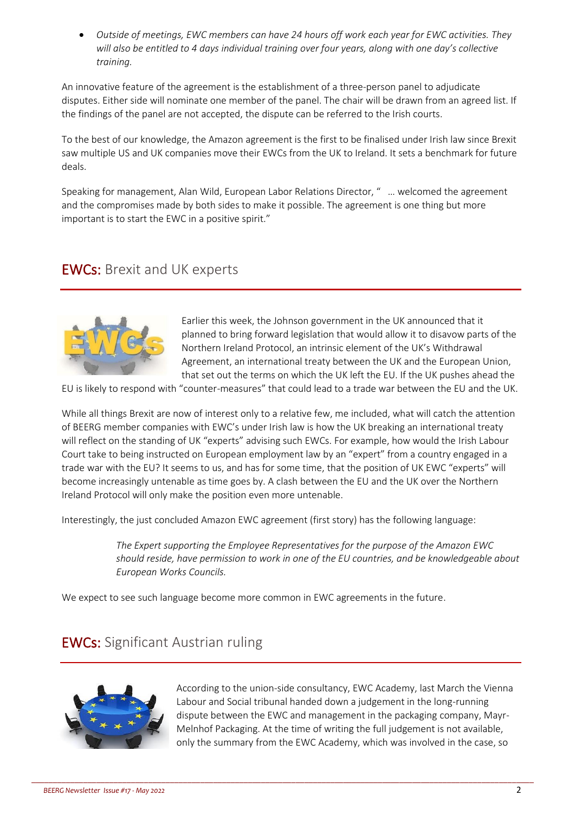• *Outside of meetings, EWC members can have 24 hours off work each year for EWC activities. They will also be entitled to 4 days individual training over four years, along with one day's collective training.*

An innovative feature of the agreement is the establishment of a three-person panel to adjudicate disputes. Either side will nominate one member of the panel. The chair will be drawn from an agreed list. If the findings of the panel are not accepted, the dispute can be referred to the Irish courts.

To the best of our knowledge, the Amazon agreement is the first to be finalised under Irish law since Brexit saw multiple US and UK companies move their EWCs from the UK to Ireland. It sets a benchmark for future deals.

Speaking for management, Alan Wild, European Labor Relations Director, " … welcomed the agreement and the compromises made by both sides to make it possible. The agreement is one thing but more important is to start the EWC in a positive spirit."

## EWCs: Brexit and UK experts



Earlier this week, the Johnson government in the UK announced that it planned to bring forward legislation that would allow it to disavow parts of the Northern Ireland Protocol, an intrinsic element of the UK's Withdrawal Agreement, an international treaty between the UK and the European Union, that set out the terms on which the UK left the EU. If the UK pushes ahead the

EU is likely to respond with "counter-measures" that could lead to a trade war between the EU and the UK.

While all things Brexit are now of interest only to a relative few, me included, what will catch the attention of BEERG member companies with EWC's under Irish law is how the UK breaking an international treaty will reflect on the standing of UK "experts" advising such EWCs. For example, how would the Irish Labour Court take to being instructed on European employment law by an "expert" from a country engaged in a trade war with the EU? It seems to us, and has for some time, that the position of UK EWC "experts" will become increasingly untenable as time goes by. A clash between the EU and the UK over the Northern Ireland Protocol will only make the position even more untenable.

Interestingly, the just concluded Amazon EWC agreement (first story) has the following language:

*The Expert supporting the Employee Representatives for the purpose of the Amazon EWC should reside, have permission to work in one of the EU countries, and be knowledgeable about European Works Councils.*

We expect to see such language become more common in EWC agreements in the future.

\_\_\_\_\_\_\_\_\_\_\_\_\_\_\_\_\_\_\_\_\_\_\_\_\_\_\_\_\_\_\_\_\_\_\_\_\_\_\_\_\_\_\_\_\_\_\_\_\_\_\_\_\_\_\_\_\_\_\_\_\_\_\_\_\_\_\_\_\_\_\_\_\_\_\_\_\_\_\_\_\_\_\_\_\_\_\_\_\_\_\_\_\_\_\_\_\_\_\_\_\_\_\_\_\_\_\_\_\_\_\_\_\_\_\_\_

# EWCs: Significant Austrian ruling



According to the union-side consultancy, EWC Academy, last March the Vienna Labour and Social tribunal handed down a judgement in the long-running dispute between the EWC and management in the packaging company, Mayr-Melnhof Packaging. At the time of writing the full judgement is not available, only the summary from the EWC Academy, which was involved in the case, so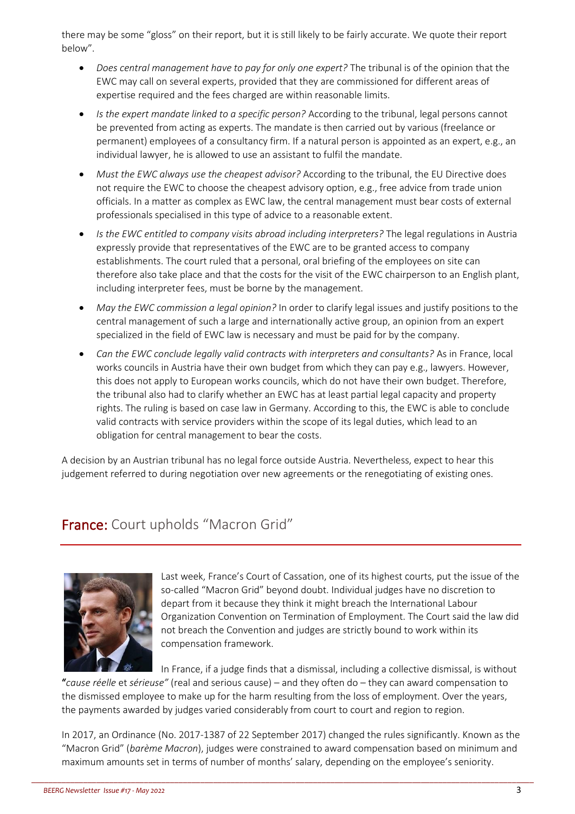there may be some "gloss" on their report, but it is still likely to be fairly accurate. We quote their report below".

- *Does central management have to pay for only one expert?* The tribunal is of the opinion that the EWC may call on several experts, provided that they are commissioned for different areas of expertise required and the fees charged are within reasonable limits.
- *Is the expert mandate linked to a specific person?* According to the tribunal, legal persons cannot be prevented from acting as experts. The mandate is then carried out by various (freelance or permanent) employees of a consultancy firm. If a natural person is appointed as an expert, e.g., an individual lawyer, he is allowed to use an assistant to fulfil the mandate.
- *Must the EWC always use the cheapest advisor?* According to the tribunal, the EU Directive does not require the EWC to choose the cheapest advisory option, e.g., free advice from trade union officials. In a matter as complex as EWC law, the central management must bear costs of external professionals specialised in this type of advice to a reasonable extent.
- *Is the EWC entitled to company visits abroad including interpreters?* The legal regulations in Austria expressly provide that representatives of the EWC are to be granted access to company establishments. The court ruled that a personal, oral briefing of the employees on site can therefore also take place and that the costs for the visit of the EWC chairperson to an English plant, including interpreter fees, must be borne by the management.
- *May the EWC commission a legal opinion?* In order to clarify legal issues and justify positions to the central management of such a large and internationally active group, an opinion from an expert specialized in the field of EWC law is necessary and must be paid for by the company.
- *Can the EWC conclude legally valid contracts with interpreters and consultants?* As in France, local works councils in Austria have their own budget from which they can pay e.g., lawyers. However, this does not apply to European works councils, which do not have their own budget. Therefore, the tribunal also had to clarify whether an EWC has at least partial legal capacity and property rights. The ruling is based on case law in Germany. According to this, the EWC is able to conclude valid contracts with service providers within the scope of its legal duties, which lead to an obligation for central management to bear the costs.

A decision by an Austrian tribunal has no legal force outside Austria. Nevertheless, expect to hear this judgement referred to during negotiation over new agreements or the renegotiating of existing ones.

# France: Court upholds "Macron Grid"



Last week, France's Court of Cassation, one of its highest courts, put the issue of the so-called "Macron Grid" beyond doubt. Individual judges have no discretion to depart from it because they think it might breach the International Labour Organization Convention on Termination of Employment. The Court said the law did not breach the Convention and judges are strictly bound to work within its compensation framework.

In France, if a judge finds that a dismissal, including a collective dismissal, is without "*cause réelle* et *sérieuse"* (real and serious cause) – and they often do – they can award compensation to the dismissed employee to make up for the harm resulting from the loss of employment. Over the years, the payments awarded by judges varied considerably from court to court and region to region.

In 2017, an Ordinance (No. 2017-1387 of 22 September 2017) changed the rules significantly. Known as the "Macron Grid" (*barème Macron*), judges were constrained to award compensation based on minimum and maximum amounts set in terms of number of months' salary, depending on the employee's seniority.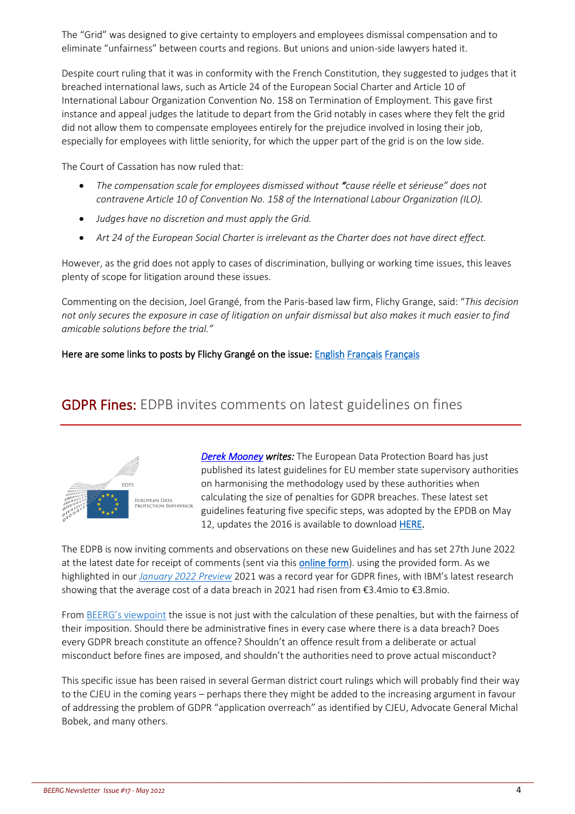The "Grid" was designed to give certainty to employers and employees dismissal compensation and to eliminate "unfairness" between courts and regions. But unions and union-side lawyers hated it.

Despite court ruling that it was in conformity with the French Constitution, they suggested to judges that it breached international laws, such as Article 24 of the European Social Charter and Article 10 of International Labour Organization Convention No. 158 on Termination of Employment. This gave first instance and appeal judges the latitude to depart from the Grid notably in cases where they felt the grid did not allow them to compensate employees entirely for the prejudice involved in losing their job, especially for employees with little seniority, for which the upper part of the grid is on the low side.

The Court of Cassation has now ruled that:

- *The compensation scale for employees dismissed without "cause réelle et sérieuse" does not contravene Article 10 of Convention No. 158 of the International Labour Organization (ILO).*
- *Judges have no discretion and must apply the Grid.*
- *Art 24 of the European Social Charter is irrelevant as the Charter does not have direct effect.*

However, as the grid does not apply to cases of discrimination, bullying or working time issues, this leaves plenty of scope for litigation around these issues.

Commenting on the decision, Joel Grangé, from the Paris-based law firm, Flichy Grange, said: "*This decision not only secures the exposure in case of litigation on unfair dismissal but also makes it much easier to find amicable solutions before the trial."*

#### Here are some links to posts by Flichy Grangé on the issue[: English](https://www.linkedin.com/posts/flichy-grang%C3%A9-avocats-eng_macron-law-unfair-activity-6930821486270148609-beAq?utm_source=linkedin_share&utm_medium=member_desktop_web) [Français](https://www.linkedin.com/posts/flichy-grang-avocats_bar%C3%A8me-macron-arr%C3%AAts-cour-de-cassation-activity-6930135181597028352-rvpE?utm_source=linkedin_share&utm_medium=member_desktop_web) [Français](https://www.linkedin.com/posts/flichy-grang-avocats_rh-ressourceshumaines-baraeyme-activity-6930456884038529024-hJgK?utm_source=linkedin_share&utm_medium=member_desktop_web)

### GDPR Fines: EDPB invites comments on latest guidelines on fines



*[Derek Mooney](http://www.derekmooney.ie/) writes:* The European Data Protection Board has just published its latest guidelines for EU member state supervisory authorities on harmonising the methodology used by these authorities when calculating the size of penalties for GDPR breaches. These latest set guidelines featuring five specific steps, was adopted by the EPDB on May 12, updates the 2016 is available to downloa[d HERE.](https://edpb.europa.eu/system/files/2022-05/edpb_guidelines_042022_calculationofadministrativefines_en.pdf)

The EDPB is now inviting comments and observations on these new Guidelines and has set 27th June 2022 at the latest date for receipt of comments (sent via this [online form\)](https://edpb.europa.eu/our-work-tools/documents/public-consultations/reply-form_en?node=3617). using the provided form. As we highlighted in our *[January 2022 Preview](https://hrpolicy.org/getmedia/b3c9c733-800e-4ee9-b12b-608c627f2fd1/Special-2022-preview-BEERG-Newsletter.pdf)* 2021 was a record year for GDPR fines, with IBM's latest research showing that the average cost of a data breach in 2021 had risen from €3.4mio to €3.8mio.

From [BEERG's viewpoint](https://www.hrpolicy.org/insight-and-research/resources/2022/global/member-only/01/beerg-special-2022-preview-gdpr-the-issue-of-appli/) the issue is not just with the calculation of these penalties, but with the fairness of their imposition. Should there be administrative fines in every case where there is a data breach? Does every GDPR breach constitute an offence? Shouldn't an offence result from a deliberate or actual misconduct before fines are imposed, and shouldn't the authorities need to prove actual misconduct?

This specific issue has been raised in several German district court rulings which will probably find their way to the CJEU in the coming years – perhaps there they might be added to the increasing argument in favour of addressing the problem of GDPR "application overreach" as identified by CJEU, Advocate General Michal Bobek, and many others.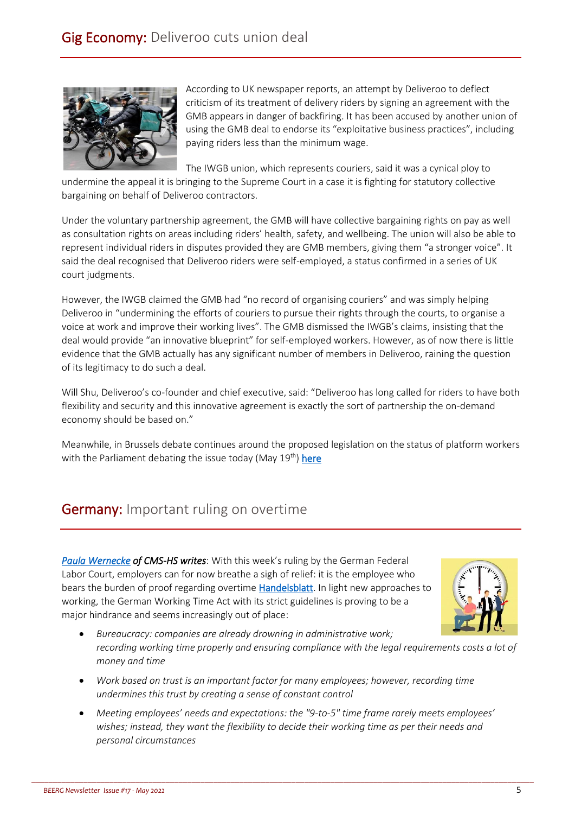

According to UK newspaper reports, an attempt by Deliveroo to deflect criticism of its treatment of delivery riders by signing an agreement with the GMB appears in danger of backfiring. It has been accused by another union of using the GMB deal to endorse its "exploitative business practices", including paying riders less than the minimum wage.

The IWGB union, which represents couriers, said it was a cynical ploy to

undermine the appeal it is bringing to the Supreme Court in a case it is fighting for statutory collective bargaining on behalf of Deliveroo contractors.

Under the voluntary partnership agreement, the GMB will have collective bargaining rights on pay as well as consultation rights on areas including riders' health, safety, and wellbeing. The union will also be able to represent individual riders in disputes provided they are GMB members, giving them "a stronger voice". It said the deal recognised that Deliveroo riders were self-employed, a status confirmed in a series of UK court judgments.

However, the IWGB claimed the GMB had "no record of organising couriers" and was simply helping Deliveroo in "undermining the efforts of couriers to pursue their rights through the courts, to organise a voice at work and improve their working lives". The GMB dismissed the IWGB's claims, insisting that the deal would provide "an innovative blueprint" for self-employed workers. However, as of now there is little evidence that the GMB actually has any significant number of members in Deliveroo, raining the question of its legitimacy to do such a deal.

Will Shu, Deliveroo's co-founder and chief executive, said: "Deliveroo has long called for riders to have both flexibility and security and this innovative agreement is exactly the sort of partnership the on-demand economy should be based on."

Meanwhile, in Brussels debate continues around the proposed legislation on the status of platform workers with the Parliament debating the issue today (May  $19<sup>th</sup>$ ) here

# **Germany:** Important ruling on overtime

*[Paula Wernecke](https://cms.law/en/deu/people/paula-wernecke) of CMS-HS writes*: With this week's ruling by the German Federal Labor Court, employers can for now breathe a sigh of relief: it is the employee who bears the burden of proof regarding overtime [Handelsblatt.](https://www.linkedin.com/company/handelsblatt/) In light new approaches to working, the German Working Time Act with its strict guidelines is proving to be a major hindrance and seems increasingly out of place:



- *Bureaucracy: companies are already drowning in administrative work; recording working time properly and ensuring compliance with the legal requirements costs a lot of money and time*
- *Work based on trust is an important factor for many employees; however, recording time undermines this trust by creating a sense of constant control*
- *Meeting employees' needs and expectations: the "9-to-5" time frame rarely meets employees' wishes; instead, they want the flexibility to decide their working time as per their needs and personal circumstances*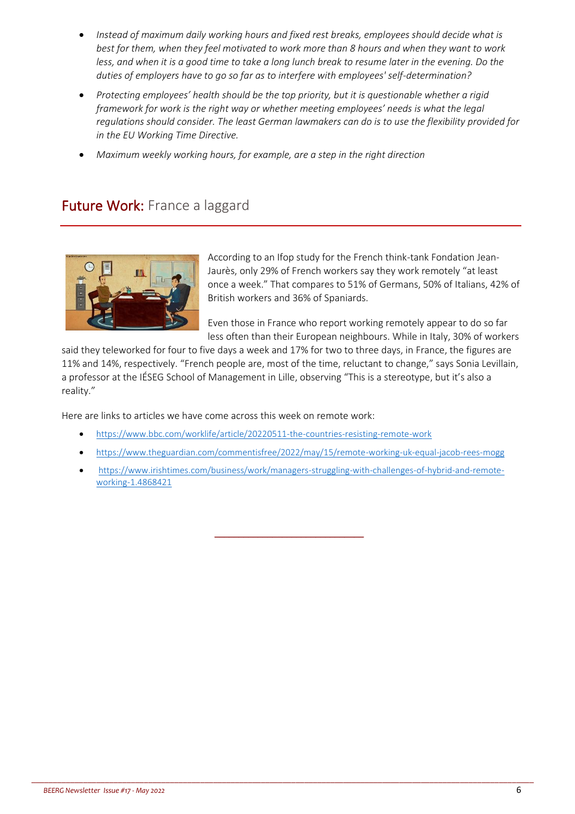- *Instead of maximum daily working hours and fixed rest breaks, employees should decide what is best for them, when they feel motivated to work more than 8 hours and when they want to work less, and when it is a good time to take a long lunch break to resume later in the evening. Do the duties of employers have to go so far as to interfere with employees' self-determination?*
- *Protecting employees' health should be the top priority, but it is questionable whether a rigid framework for work is the right way or whether meeting employees' needs is what the legal regulations should consider. The least German lawmakers can do is to use the flexibility provided for in the EU Working Time Directive.*
- *Maximum weekly working hours, for example, are a step in the right direction*

# Future Work: France a laggard



According to an Ifop study for the French think-tank Fondation Jean-Jaurès, only 29% of French workers say they work remotely "at least once a week." That compares to 51% of Germans, 50% of Italians, 42% of British workers and 36% of Spaniards.

Even those in France who report working remotely appear to do so far less often than their European neighbours. While in Italy, 30% of workers

said they teleworked for four to five days a week and 17% for two to three days, in France, the figures are 11% and 14%, respectively. "French people are, most of the time, reluctant to change," says Sonia Levillain, a professor at the IÉSEG School of Management in Lille, observing "This is a stereotype, but it's also a reality."

Here are links to articles we have come across this week on remote work:

- <https://www.bbc.com/worklife/article/20220511-the-countries-resisting-remote-work>
- <https://www.theguardian.com/commentisfree/2022/may/15/remote-working-uk-equal-jacob-rees-mogg>
- [https://www.irishtimes.com/business/work/managers-struggling-with-challenges-of-hybrid-and-remote](https://www.irishtimes.com/business/work/managers-struggling-with-challenges-of-hybrid-and-remote-working-1.4868421)[working-1.4868421](https://www.irishtimes.com/business/work/managers-struggling-with-challenges-of-hybrid-and-remote-working-1.4868421)

\_\_\_\_\_\_\_\_\_\_\_\_\_\_\_\_\_\_\_\_\_\_\_\_\_\_\_\_\_\_\_